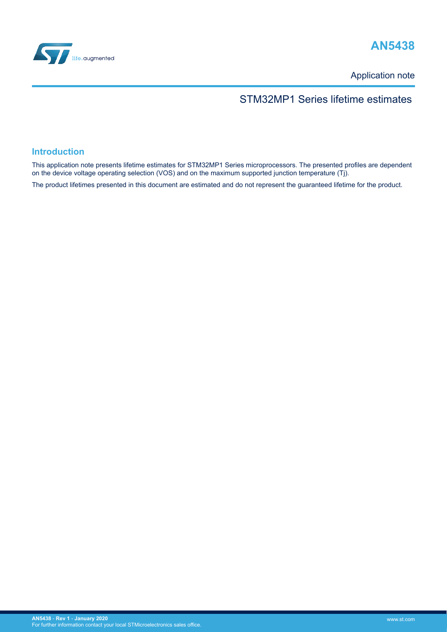

# **AN5438**

Application note

#### STM32MP1 Series lifetime estimates

#### **Introduction**

This application note presents lifetime estimates for STM32MP1 Series microprocessors. The presented profiles are dependent on the device voltage operating selection (VOS) and on the maximum supported junction temperature (Tj).

The product lifetimes presented in this document are estimated and do not represent the guaranteed lifetime for the product.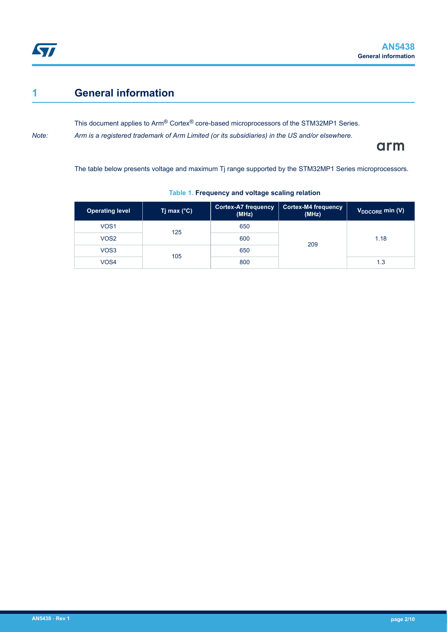### <span id="page-1-0"></span>**1 General information**

This document applies to Arm® Cortex® core-based microprocessors of the STM32MP1 Series. *Note: Arm is a registered trademark of Arm Limited (or its subsidiaries) in the US and/or elsewhere.*

arm

The table below presents voltage and maximum Tj range supported by the STM32MP1 Series microprocessors.

| <b>Operating level</b> | Tj max $(^{\circ}C)$ | <b>Cortex-A7 frequency</b><br>(MHz) | Cortex-M4 frequency<br>(MHz) | V <sub>DDCORE</sub> min (V) |
|------------------------|----------------------|-------------------------------------|------------------------------|-----------------------------|
| VOS <sub>1</sub>       | 125                  | 650                                 | 209                          | 1.18                        |
| VOS <sub>2</sub>       |                      | 600                                 |                              |                             |
| VOS3                   | 105                  | 650                                 |                              |                             |
| VOS4                   |                      | 800                                 |                              | 1.3                         |

#### **Table 1. Frequency and voltage scaling relation**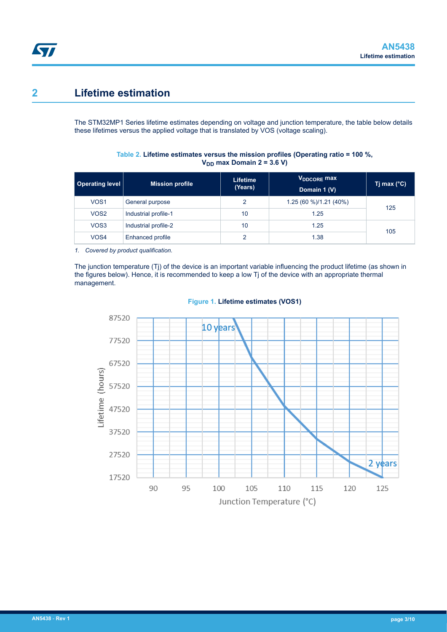### <span id="page-2-0"></span>**2 Lifetime estimation**

The STM32MP1 Series lifetime estimates depending on voltage and junction temperature, the table below details these lifetimes versus the applied voltage that is translated by VOS (voltage scaling).

| Operating level  | <b>Mission profile</b> | <b>Lifetime</b><br>(Years) | V <sub>DDCORE</sub> max<br>Domain 1 (V) | Tj max $(^{\circ}C)$ |
|------------------|------------------------|----------------------------|-----------------------------------------|----------------------|
| VOS <sub>1</sub> | General purpose        | っ                          | 1.25 (60 %)/1.21 (40%)                  | 125                  |
| VOS <sub>2</sub> | Industrial profile-1   | 10                         | 1.25                                    |                      |
| VOS3             | Industrial profile-2   | 10                         | 1.25                                    | 105                  |
| VOS4             | Enhanced profile       | ◠                          | 1.38                                    |                      |

**Table 2. Lifetime estimates versus the mission profiles (Operating ratio = 100 %,**  $V_{DD}$  max Domain 2 = 3.6 V)

*1. Covered by product qualification.*

The junction temperature (Tj) of the device is an important variable influencing the product lifetime (as shown in the figures below). Hence, it is recommended to keep a low Tj of the device with an appropriate thermal management.



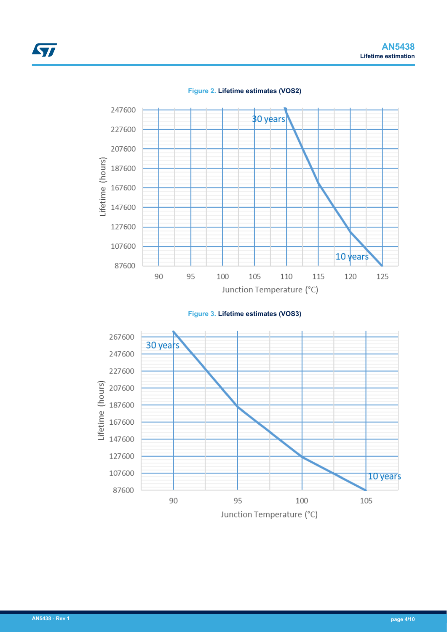<span id="page-3-0"></span>





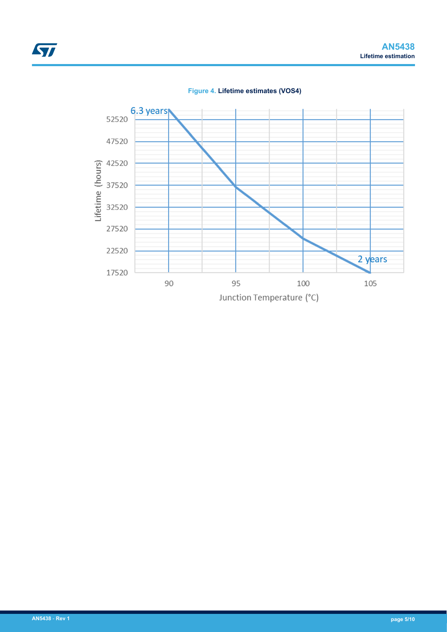<span id="page-4-0"></span>

**Figure 4. Lifetime estimates (VOS4)**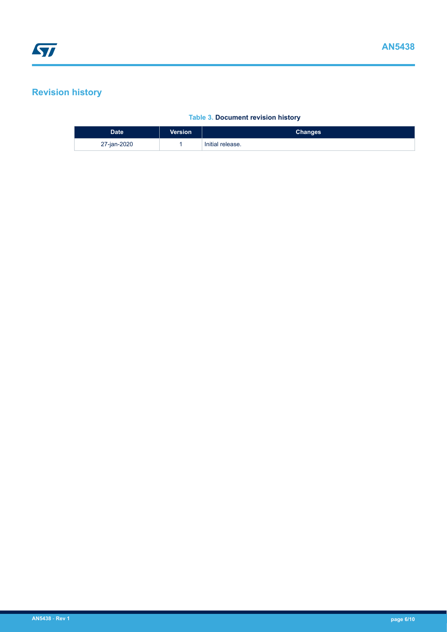# <span id="page-5-0"></span>**Revision history**

#### **Table 3. Document revision history**

| <b>Date</b> | <b>Version</b> | <b>Changes</b>   |
|-------------|----------------|------------------|
| 27-jan-2020 |                | Initial release. |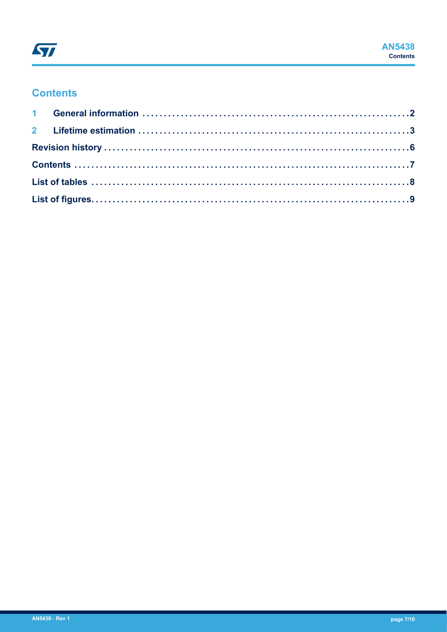### **Contents**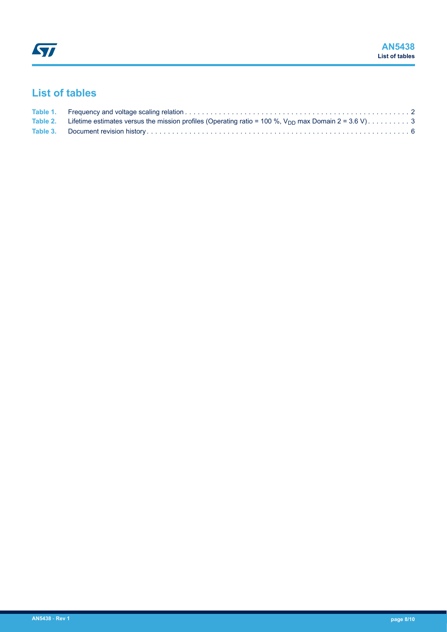# <span id="page-7-0"></span>**List of tables**

| Table 2. Lifetime estimates versus the mission profiles (Operating ratio = 100 %, $V_{DD}$ max Domain 2 = 3.6 V)3 |  |
|-------------------------------------------------------------------------------------------------------------------|--|
|                                                                                                                   |  |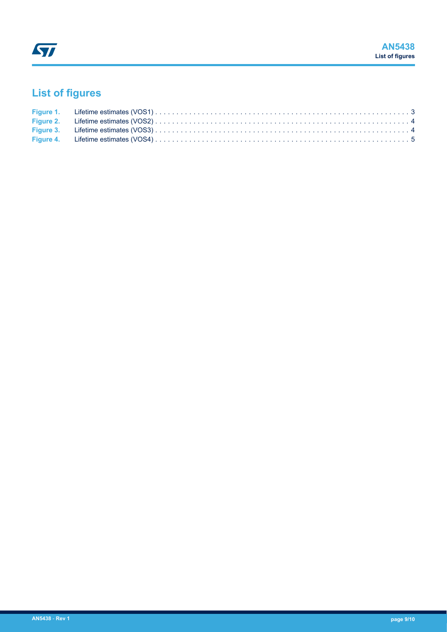# <span id="page-8-0"></span>**List of figures**